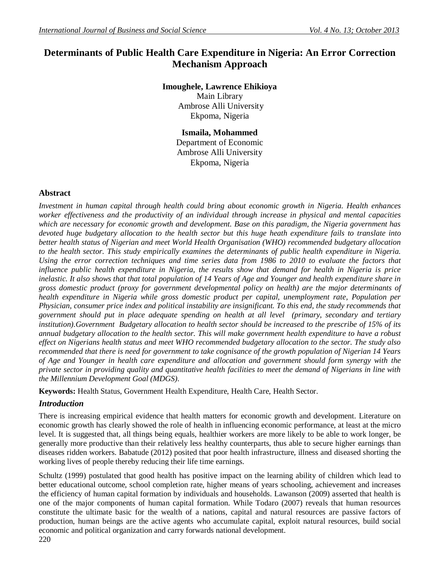# **Determinants of Public Health Care Expenditure in Nigeria: An Error Correction Mechanism Approach**

## **Imoughele, Lawrence Ehikioya**

Main Library Ambrose Alli University Ekpoma, Nigeria

**Ismaila, Mohammed** Department of Economic Ambrose Alli University Ekpoma, Nigeria

### **Abstract**

*Investment in human capital through health could bring about economic growth in Nigeria. Health enhances worker effectiveness and the productivity of an individual through increase in physical and mental capacities which are necessary for economic growth and development. Base on this paradigm, the Nigeria government has devoted huge budgetary allocation to the health sector but this huge heath expenditure fails to translate into better health status of Nigerian and meet World Health Organisation (WHO) recommended budgetary allocation to the health sector. This study empirically examines the determinants of public health expenditure in Nigeria. Using the error correction techniques and time series data from 1986 to 2010 to evaluate the factors that influence public health expenditure in Nigeria, the results show that demand for health in Nigeria is price*  inelastic. It also shows that that total population of 14 Years of Age and Younger and health expenditure share in *gross domestic product (proxy for government developmental policy on health) are the major determinants of health expenditure in Nigeria while gross domestic product per capital, unemployment rate, Population per Physician, consumer price index and political instability are insignificant. To this end, the study recommends that government should put in place adequate spending on health at all level (primary, secondary and tertiary institution).Government Budgetary allocation to health sector should be increased to the prescribe of 15% of its annual budgetary allocation to the health sector. This will make government health expenditure to have a robust effect on Nigerians health status and meet WHO recommended budgetary allocation to the sector. The study also recommended that there is need for government to take cognisance of the growth population of Nigerian 14 Years of Age and Younger in health care expenditure and allocation and government should form synergy with the private sector in providing quality and quantitative health facilities to meet the demand of Nigerians in line with the Millennium Development Goal (MDGS).*

**Keywords:** Health Status, Government Health Expenditure, Health Care, Health Sector.

## *Introduction*

There is increasing empirical evidence that health matters for economic growth and development. Literature on economic growth has clearly showed the role of health in influencing economic performance, at least at the micro level. It is suggested that, all things being equals, healthier workers are more likely to be able to work longer, be generally more productive than their relatively less healthy counterparts, thus able to secure higher earnings than diseases ridden workers. Babatude (2012) posited that poor health infrastructure, illness and diseased shorting the working lives of people thereby reducing their life time earnings.

Schultz (1999) postulated that good health has positive impact on the learning ability of children which lead to better educational outcome, school completion rate, higher means of years schooling, achievement and increases the efficiency of human capital formation by individuals and households. Lawanson (2009) asserted that health is one of the major components of human capital formation. While Todaro (2007) reveals that human resources constitute the ultimate basic for the wealth of a nations, capital and natural resources are passive factors of production, human beings are the active agents who accumulate capital, exploit natural resources, build social economic and political organization and carry forwards national development.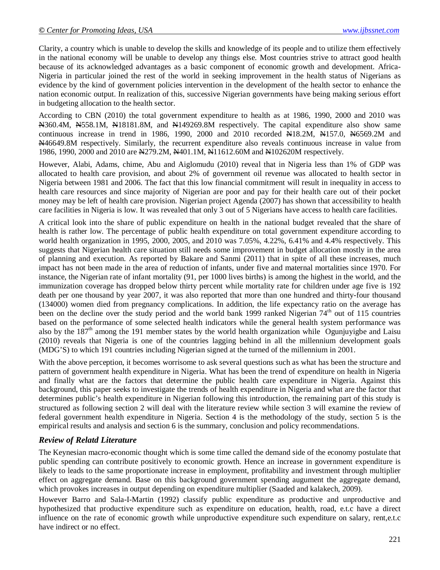Clarity, a country which is unable to develop the skills and knowledge of its people and to utilize them effectively in the national economy will be unable to develop any things else. Most countries strive to attract good health because of its acknowledged advantages as a basic component of economic growth and development. Africa-Nigeria in particular joined the rest of the world in seeking improvement in the health status of Nigerians as evidence by the kind of government policies intervention in the development of the health sector to enhance the nation economic output. In realization of this, successive Nigerian governments have being making serious effort in budgeting allocation to the health sector.

According to CBN (2010) the total government expenditure to health as at 1986, 1990, 2000 and 2010 was N360.4M, N558.1M, N18181.8M, and N149269.8M respectively. The capital expenditure also show same continuous increase in trend in 1986, 1990, 2000 and 2010 recorded  $\text{N18.2M}$ ,  $\text{N157.0}$ ,  $\text{N6569.2M}$  and N46649.8M respectively. Similarly, the recurrent expenditure also reveals continuous increase in value from 1986, 1990, 2000 and 2010 are  $\frac{N}{279.2M}$ ,  $\frac{N}{401.1M}$ ,  $\frac{N}{11612.60M}$  and  $\frac{N}{102620M}$  respectively.

However, Alabi, Adams, chime, Abu and Aiglomudu (2010) reveal that in Nigeria less than 1% of GDP was allocated to health care provision, and about 2% of government oil revenue was allocated to health sector in Nigeria between 1981 and 2006. The fact that this low financial commitment will result in inequality in access to health care resources and since majority of Nigerian are poor and pay for their health care out of their pocket money may be left of health care provision. Nigerian project Agenda (2007) has shown that accessibility to health care facilities in Nigeria is low. It was revealed that only 3 out of 5 Nigerians have access to health care facilities.

A critical look into the share of public expenditure on health in the national budget revealed that the share of health is rather low. The percentage of public health expenditure on total government expenditure according to world health organization in 1995, 2000, 2005, and 2010 was 7.05%, 4.22%, 6.41% and 4.4% respectively. This suggests that Nigerian health care situation still needs some improvement in budget allocation mostly in the area of planning and execution. As reported by Bakare and Sanmi (2011) that in spite of all these increases, much impact has not been made in the area of reduction of infants, under five and maternal mortalities since 1970. For instance, the Nigerian rate of infant mortality (91, per 1000 lives births) is among the highest in the world, and the immunization coverage has dropped below thirty percent while mortality rate for children under age five is 192 death per one thousand by year 2007, it was also reported that more than one hundred and thirty-four thousand (134000) women died from pregnancy complications. In addition, the life expectancy ratio on the average has been on the decline over the study period and the world bank 1999 ranked Nigerian 74<sup>th</sup> out of 115 countries based on the performance of some selected health indicators while the general health system performance was also by the  $187<sup>th</sup>$  among the 191 member states by the world health organization while Ogunjuyigbe and Laisu (2010) reveals that Nigeria is one of the countries lagging behind in all the millennium development goals (MDG'S) to which 191 countries including Nigerian signed at the turned of the millennium in 2001.

With the above perception, it becomes worrisome to ask several questions such as what has been the structure and pattern of government health expenditure in Nigeria. What has been the trend of expenditure on health in Nigeria and finally what are the factors that determine the public health care expenditure in Nigeria. Against this background, this paper seeks to investigate the trends of health expenditure in Nigeria and what are the factor that determines public's health expenditure in Nigerian following this introduction, the remaining part of this study is structured as following section 2 will deal with the literature review while section 3 will examine the review of federal government health expenditure in Nigeria. Section 4 is the methodology of the study, section 5 is the empirical results and analysis and section 6 is the summary, conclusion and policy recommendations.

### *Review of Relatd Literature*

The Keynesian macro-economic thought which is some time called the demand side of the economy postulate that public spending can contribute positively to economic growth. Hence an increase in government expenditure is likely to leads to the same proportionate increase in employment, profitability and investment through multiplier effect on aggregate demand. Base on this background government spending augument the aggregate demand, which provokes increases in output depending on expenditure multiplier (Saaded and kalakech, 2009).

However Barro and Sala-I-Martin (1992) classify public expenditure as productive and unproductive and hypothesized that productive expenditure such as expenditure on education, health, road, e.t.c have a direct influence on the rate of economic growth while unproductive expenditure such expenditure on salary, rent,e.t.c have indirect or no effect.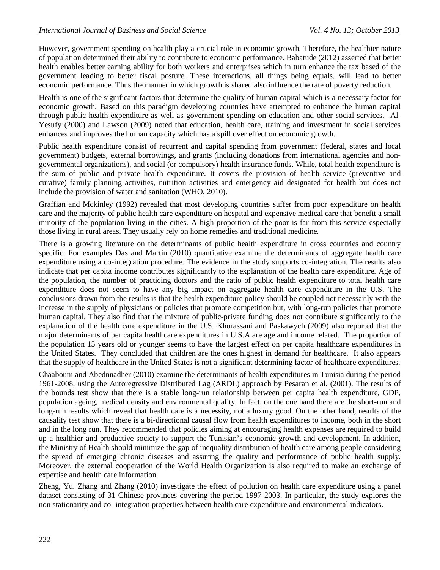However, government spending on health play a crucial role in economic growth. Therefore, the healthier nature of population determined their ability to contribute to economic performance. Babatude (2012) asserted that better health enables better earning ability for both workers and enterprises which in turn enhance the tax based of the government leading to better fiscal posture. These interactions, all things being equals, will lead to better economic performance. Thus the manner in which growth is shared also influence the rate of poverty reduction.

Health is one of the significant factors that determine the quality of human capital which is a necessary factor for economic growth. Based on this paradigm developing countries have attempted to enhance the human capital through public health expenditure as well as government spending on education and other social services. Al-Yesufy (2000) and Lawson (2009) noted that education, health care, training and investment in social services enhances and improves the human capacity which has a spill over effect on economic growth.

Public health expenditure consist of recurrent and capital spending from government (federal, states and local government) budgets, external borrowings, and grants (including donations from international agencies and nongovernmental organizations), and social (or compulsory) health insurance funds. While, total health expenditure is the sum of public and private health expenditure. It covers the provision of health service (preventive and curative) family planning activities, nutrition activities and emergency aid designated for health but does not include the provision of water and sanitation (WHO, 2010).

Graffian and Mckinley (1992) revealed that most developing countries suffer from poor expenditure on health care and the majority of public health care expenditure on hospital and expensive medical care that benefit a small minority of the population living in the cities. A high proportion of the poor is far from this service especially those living in rural areas. They usually rely on home remedies and traditional medicine.

There is a growing literature on the determinants of public health expenditure in cross countries and country specific. For examples Das and Martin (2010) quantitative examine the determinants of aggregate health care expenditure using a co-integration procedure. The evidence in the study supports co-integration. The results also indicate that per capita income contributes significantly to the explanation of the health care expenditure. Age of the population, the number of practicing doctors and the ratio of public health expenditure to total health care expenditure does not seem to have any big impact on aggregate health care expenditure in the U.S. The conclusions drawn from the results is that the health expenditure policy should be coupled not necessarily with the increase in the supply of physicians or policies that promote competition but, with long-run policies that promote human capital. They also find that the mixture of public-private funding does not contribute significantly to the explanation of the health care expenditure in the U.S. Khorassani and Paskawych (2009) also reported that the major determinants of per capita healthcare expenditures in U.S.A are age and income related. The proportion of the population 15 years old or younger seems to have the largest effect on per capita healthcare expenditures in the United States. They concluded that children are the ones highest in demand for healthcare. It also appears that the supply of healthcare in the United States is not a significant determining factor of healthcare expenditures.

Chaabouni and Abednnadher (2010) examine the determinants of health expenditures in Tunisia during the period 1961-2008, using the Autoregressive Distributed Lag (ARDL) approach by Pesaran et al. (2001). The results of the bounds test show that there is a stable long-run relationship between per capita health expenditure, GDP, population ageing, medical density and environmental quality. In fact, on the one hand there are the short-run and long-run results which reveal that health care is a necessity, not a luxury good. On the other hand, results of the causality test show that there is a bi-directional causal flow from health expenditures to income, both in the short and in the long run. They recommended that policies aiming at encouraging health expenses are required to build up a healthier and productive society to support the Tunisian's economic growth and development. In addition, the Ministry of Health should minimize the gap of inequality distribution of health care among people considering the spread of emerging chronic diseases and assuring the quality and performance of public health supply. Moreover, the external cooperation of the World Health Organization is also required to make an exchange of expertise and health care information.

Zheng, Yu. Zhang and Zhang (2010) investigate the effect of pollution on health care expenditure using a panel dataset consisting of 31 Chinese provinces covering the period 1997-2003. In particular, the study explores the non stationarity and co- integration properties between health care expenditure and environmental indicators.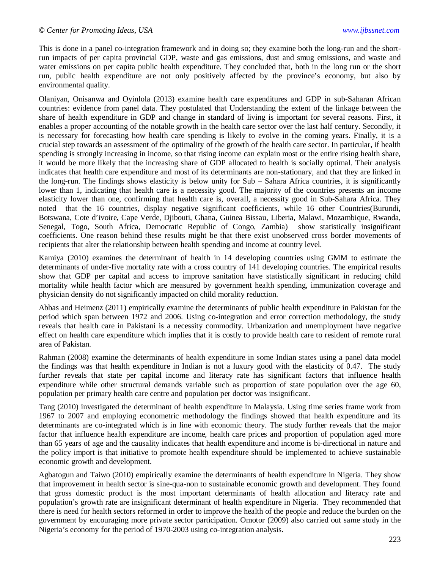This is done in a panel co-integration framework and in doing so; they examine both the long-run and the shortrun impacts of per capita provincial GDP, waste and gas emissions, dust and smug emissions, and waste and water emissions on per capita public health expenditure. They concluded that, both in the long run or the short run, public health expenditure are not only positively affected by the province's economy, but also by environmental quality.

Olaniyan, Onisanwa and Oyinlola (2013) examine health care expenditures and GDP in sub-Saharan African countries: evidence from panel data. They postulated that Understanding the extent of the linkage between the share of health expenditure in GDP and change in standard of living is important for several reasons. First, it enables a proper accounting of the notable growth in the health care sector over the last half century. Secondly, it is necessary for forecasting how health care spending is likely to evolve in the coming years. Finally, it is a crucial step towards an assessment of the optimality of the growth of the health care sector. In particular, if health spending is strongly increasing in income, so that rising income can explain most or the entire rising health share, it would be more likely that the increasing share of GDP allocated to health is socially optimal. Their analysis indicates that health care expenditure and most of its determinants are non-stationary, and that they are linked in the long-run. The findings shows elasticity is below unity for Sub – Sahara Africa countries, it is significantly lower than 1, indicating that health care is a necessity good. The majority of the countries presents an income elasticity lower than one, confirming that health care is, overall, a necessity good in Sub-Sahara Africa. They noted that the 16 countries, display negative significant coefficients, while 16 other Countries(Burundi, Botswana, Cote d'ivoire, Cape Verde, Djibouti, Ghana, Guinea Bissau, Liberia, Malawi, Mozambique, Rwanda, Senegal, Togo, South Africa, Democratic Republic of Congo, Zambia) show statistically insignificant coefficients. One reason behind these results might be that there exist unobserved cross border movements of recipients that alter the relationship between health spending and income at country level.

Kamiya (2010) examines the determinant of health in 14 developing countries using GMM to estimate the determinants of under-five mortality rate with a cross country of 141 developing countries. The empirical results show that GDP per capital and access to improve sanitation have statistically significant in reducing child mortality while health factor which are measured by government health spending, immunization coverage and physician density do not significantly impacted on child morality reduction.

Abbas and Heimenz (2011) empirically examine the determinants of public health expenditure in Pakistan for the period which span between 1972 and 2006. Using co-integration and error correction methodology, the study reveals that health care in Pakistani is a necessity commodity. Urbanization and unemployment have negative effect on health care expenditure which implies that it is costly to provide health care to resident of remote rural area of Pakistan.

Rahman (2008) examine the determinants of health expenditure in some Indian states using a panel data model the findings was that health expenditure in Indian is not a luxury good with the elasticity of 0.47. The study further reveals that state per capital income and literacy rate has significant factors that influence health expenditure while other structural demands variable such as proportion of state population over the age 60, population per primary health care centre and population per doctor was insignificant.

Tang (2010) investigated the determinant of health expenditure in Malaysia. Using time series frame work from 1967 to 2007 and employing econometric methodology the findings showed that health expenditure and its determinants are co-integrated which is in line with economic theory. The study further reveals that the major factor that influence health expenditure are income, health care prices and proportion of population aged more than 65 years of age and the causality indicates that health expenditure and income is bi-directional in nature and the policy import is that initiative to promote health expenditure should be implemented to achieve sustainable economic growth and development.

Agbatogun and Taiwo (2010) empirically examine the determinants of health expenditure in Nigeria. They show that improvement in health sector is sine-qua-non to sustainable economic growth and development. They found that gross domestic product is the most important determinants of health allocation and literacy rate and population's growth rate are insignificant determinant of health expenditure in Nigeria. They recommended that there is need for health sectors reformed in order to improve the health of the people and reduce the burden on the government by encouraging more private sector participation. Omotor (2009) also carried out same study in the Nigeria's economy for the period of 1970-2003 using co-integration analysis.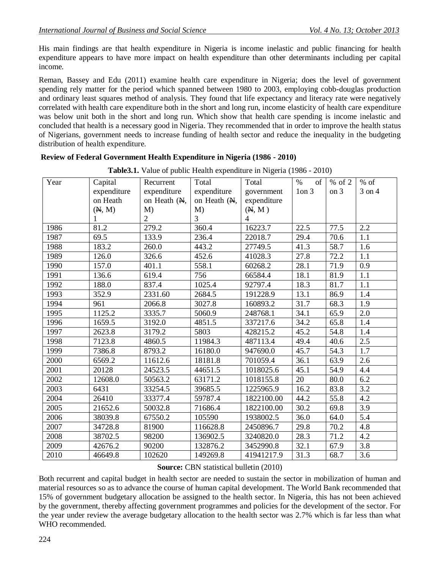His main findings are that health expenditure in Nigeria is income inelastic and public financing for health expenditure appears to have more impact on health expenditure than other determinants including per capital income.

Reman, Bassey and Edu (2011) examine health care expenditure in Nigeria; does the level of government spending rely matter for the period which spanned between 1980 to 2003, employing cobb-douglas production and ordinary least squares method of analysis. They found that life expectancy and literacy rate were negatively correlated with health care expenditure both in the short and long run, income elasticity of health care expenditure was below unit both in the short and long run. Which show that health care spending is income inelastic and concluded that health is a necessary good in Nigeria. They recommended that in order to improve the health status of Nigerians, government needs to increase funding of health sector and reduce the inequality in the budgeting distribution of health expenditure.

| <b>Table 3.1.</b> Value of public riealin expenditure in Nigeria (1980 - 2010) |             |                |              |                |            |          |                  |
|--------------------------------------------------------------------------------|-------------|----------------|--------------|----------------|------------|----------|------------------|
| Year                                                                           | Capital     | Recurrent      | Total        | Total          | $\%$<br>of | $%$ of 2 | $%$ of           |
|                                                                                | expenditure | expenditure    | expenditure  | government     | $1$ on $3$ | on 3     | 3 on 4           |
|                                                                                | on Heath    | on Heath (N,   | on Heath (N, | expenditure    |            |          |                  |
|                                                                                | (M, M)      | $M$ )          | M            | (M, M)         |            |          |                  |
|                                                                                | 1           | $\overline{2}$ | 3            | $\overline{4}$ |            |          |                  |
| 1986                                                                           | 81.2        | 279.2          | 360.4        | 16223.7        | 22.5       | 77.5     | 2.2              |
| 1987                                                                           | 69.5        | 133.9          | 236.4        | 22018.7        | 29.4       | 70.6     | 1.1              |
| 1988                                                                           | 183.2       | 260.0          | 443.2        | 27749.5        | 41.3       | 58.7     | 1.6              |
| 1989                                                                           | 126.0       | 326.6          | 452.6        | 41028.3        | 27.8       | 72.2     | 1.1              |
| 1990                                                                           | 157.0       | 401.1          | 558.1        | 60268.2        | 28.1       | 71.9     | 0.9              |
| 1991                                                                           | 136.6       | 619.4          | 756          | 66584.4        | 18.1       | 81.9     | 1.1              |
| 1992                                                                           | 188.0       | 837.4          | 1025.4       | 92797.4        | 18.3       | 81.7     | 1.1              |
| 1993                                                                           | 352.9       | 2331.60        | 2684.5       | 191228.9       | 13.1       | 86.9     | 1.4              |
| 1994                                                                           | 961         | 2066.8         | 3027.8       | 160893.2       | 31.7       | 68.3     | 1.9              |
| 1995                                                                           | 1125.2      | 3335.7         | 5060.9       | 248768.1       | 34.1       | 65.9     | 2.0              |
| 1996                                                                           | 1659.5      | 3192.0         | 4851.5       | 337217.6       | 34.2       | 65.8     | 1.4              |
| 1997                                                                           | 2623.8      | 3179.2         | 5803         | 428215.2       | 45.2       | 54.8     | 1.4              |
| 1998                                                                           | 7123.8      | 4860.5         | 11984.3      | 487113.4       | 49.4       | 40.6     | 2.5              |
| 1999                                                                           | 7386.8      | 8793.2         | 16180.0      | 947690.0       | 45.7       | 54.3     | 1.7              |
| 2000                                                                           | 6569.2      | 11612.6        | 18181.8      | 701059.4       | 36.1       | 63.9     | 2.6              |
| 2001                                                                           | 20128       | 24523.5        | 44651.5      | 1018025.6      | 45.1       | 54.9     | 4.4              |
| 2002                                                                           | 12608.0     | 50563.2        | 63171.2      | 1018155.8      | 20         | 80.0     | 6.2              |
| 2003                                                                           | 6431        | 33254.5        | 39685.5      | 1225965.9      | 16.2       | 83.8     | 3.2              |
| 2004                                                                           | 26410       | 33377.4        | 59787.4      | 1822100.00     | 44.2       | 55.8     | 4.2              |
| 2005                                                                           | 21652.6     | 50032.8        | 71686.4      | 1822100.00     | 30.2       | 69.8     | 3.9              |
| 2006                                                                           | 38039.8     | 67550.2        | 105590       | 1938002.5      | 36.0       | 64.0     | 5.4              |
| 2007                                                                           | 34728.8     | 81900          | 116628.8     | 2450896.7      | 29.8       | 70.2     | 4.8              |
| 2008                                                                           | 38702.5     | 98200          | 136902.5     | 3240820.0      | 28.3       | 71.2     | 4.2              |
| 2009                                                                           | 42676.2     | 90200          | 132876.2     | 3452990.8      | 32.1       | 67.9     | $\overline{3.8}$ |
| 2010                                                                           | 46649.8     | 102620         | 149269.8     | 41941217.9     | 31.3       | 68.7     | 3.6              |

**Review of Federal Government Health Expenditure in Nigeria (1986 - 2010)**

**Table3.1.** Value of public Health expenditure in Nigeria (1986 - 2010)

**Source:** CBN statistical bulletin (2010)

Both recurrent and capital budget in health sector are needed to sustain the sector in mobilization of human and material resources so as to advance the course of human capital development. The World Bank recommended that 15% of government budgetary allocation be assigned to the health sector. In Nigeria, this has not been achieved by the government, thereby affecting government programmes and policies for the development of the sector. For the year under review the average budgetary allocation to the health sector was 2.7% which is far less than what WHO recommended.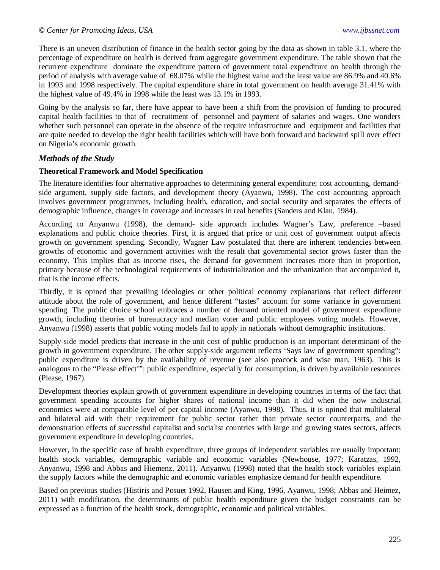There is an uneven distribution of finance in the health sector going by the data as shown in table 3.1, where the percentage of expenditure on health is derived from aggregate government expenditure. The table shown that the recurrent expenditure dominate the expenditure pattern of government total expenditure on health through the period of analysis with average value of 68.07% while the highest value and the least value are 86.9% and 40.6% in 1993 and 1998 respectively. The capital expenditure share in total government on health average 31.41% with the highest value of 49.4% in 1998 while the least was 13.1% in 1993.

Going by the analysis so far, there have appear to have been a shift from the provision of funding to procured capital health facilities to that of recruitment of personnel and payment of salaries and wages. One wonders whether such personnel can operate in the absence of the require infrastructure and equipment and facilities that are quite needed to develop the right health facilities which will have both forward and backward spill over effect on Nigeria's economic growth.

### *Methods of the Study*

#### **Theoretical Framework and Model Specification**

The literature identifies four alternative approaches to determining general expenditure; cost accounting, demandside argument, supply side factors, and development theory (Ayanwu, 1998). The cost accounting approach involves government programmes, including health, education, and social security and separates the effects of demographic influence, changes in coverage and increases in real benefits (Sanders and Klau, 1984).

According to Anyanwu (1998), the demand- side approach includes Wagner's Law, preference –based explanations and public choice theories. First, it is argued that price or unit cost of government output affects growth on government spending. Secondly, Wagner Law postulated that there are inherent tendencies between growths of economic and government activities with the result that governmental sector grows faster than the economy. This implies that as income rises, the demand for government increases more than in proportion, primary because of the technological requirements of industrialization and the urbanization that accompanied it, that is the income effects.

Thirdly, it is opined that prevailing ideologies or other political economy explanations that reflect different attitude about the role of government, and hence different "tastes" account for some variance in government spending. The public choice school embraces a number of demand oriented model of government expenditure growth, including theories of bureaucracy and median voter and public employees voting models. However, Anyanwu (1998) asserts that public voting models fail to apply in nationals without demographic institutions.

Supply-side model predicts that increase in the unit cost of public production is an important determinant of the growth in government expenditure. The other supply-side argument reflects 'Says law of government spending": public expenditure is driven by the availability of revenue (see also peacock and wise man, 1963). This is analogous to the "Please effect'": public expenditure, especially for consumption, is driven by available resources (Please, 1967).

Development theories explain growth of government expenditure in developing countries in terms of the fact that government spending accounts for higher shares of national income than it did when the now industrial economics were at comparable level of per capital income (Ayanwu, 1998). Thus, it is opined that multilateral and bilateral aid with their requirement for public sector rather than private sector counterparts, and the demonstration effects of successful capitalist and socialist countries with large and growing states sectors, affects government expenditure in developing countries.

However, in the specific case of health expenditure, three groups of independent variables are usually important: health stock variables, demographic variable and economic variables (Newhouse, 1977; Karatzas, 1992, Anyanwu, 1998 and Abbas and Hiemenz, 2011). Anyanwu (1998) noted that the health stock variables explain the supply factors while the demographic and economic variables emphasize demand for health expenditure.

Based on previous studies (Histiris and Posuet 1992, Hausen and King, 1996, Ayanwu, 1998; Abbas and Heimez, 2011) with modification, the determinants of public health expenditure given the budget constraints can be expressed as a function of the health stock, demographic, economic and political variables.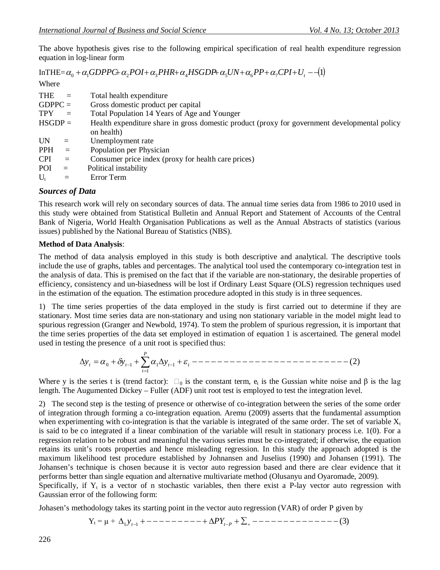The above hypothesis gives rise to the following empirical specification of real health expenditure regression equation in log-linear form

 $InTHE = \alpha_0 + \alpha_1 GDPP$ C+ $\alpha_2 POI + \alpha_3 PHR + \alpha_4 HSGDP + \alpha_5 UN + \alpha_6 PP + \alpha_7 CPU + U_1$ 

Where

| <b>THE</b> | $\equiv$ | Total health expenditure                                                                      |
|------------|----------|-----------------------------------------------------------------------------------------------|
| $GDPPC =$  |          | Gross domestic product per capital                                                            |
| <b>TPY</b> | $=$      | Total Population 14 Years of Age and Younger                                                  |
| $HSGDP =$  |          | Health expenditure share in gross domestic product (proxy for government developmental policy |
|            |          | on health)                                                                                    |
| UN         | $=$      | Unemployment rate                                                                             |
| <b>PPH</b> | $=$      | Population per Physician                                                                      |
| <b>CPI</b> | $=$      | Consumer price index (proxy for health care prices)                                           |
| POI        | $=$      | Political instability                                                                         |
| $U_{t}$    | $=$      | Error Term                                                                                    |
|            |          |                                                                                               |

#### *Sources of Data*

This research work will rely on secondary sources of data. The annual time series data from 1986 to 2010 used in this study were obtained from Statistical Bulletin and Annual Report and Statement of Accounts of the Central Bank of Nigeria, World Health Organisation Publications as well as the Annual Abstracts of statistics (various issues) published by the National Bureau of Statistics (NBS).

#### **Method of Data Analysis**:

The method of data analysis employed in this study is both descriptive and analytical. The descriptive tools include the use of graphs, tables and percentages. The analytical tool used the contemporary co-integration test in the analysis of data. This is premised on the fact that if the variable are non-stationary, the desirable properties of efficiency, consistency and un-biasedness will be lost if Ordinary Least Square (OLS) regression techniques used in the estimation of the equation. The estimation procedure adopted in this study is in three sequences.

1) The time series properties of the data employed in the study is first carried out to determine if they are stationary. Most time series data are non-stationary and using non stationary variable in the model might lead to spurious regression (Granger and Newbold, 1974). To stem the problem of spurious regression, it is important that the time series properties of the data set employed in estimation of equation 1 is ascertained. The general model used in testing the presence of a unit root is specified thus:

(2) 1 <sup>0</sup> <sup>1</sup> <sup>1</sup> <sup>1</sup> *t P t t t t y y y*

Where y is the series t is (trend factor):  $\Box_0$  is the constant term,  $e_t$  is the Gussian white noise and  $\beta$  is the lag length. The Augumented Dickey – Fuller (ADF) unit root test is employed to test the integration level.

2) The second step is the testing of presence or otherwise of co-integration between the series of the some order of integration through forming a co-integration equation. Aremu (2009) asserts that the fundamental assumption when experimenting with co-integration is that the variable is integrated of the same order. The set of variable  $X_t$ is said to be co integrated if a linear combination of the variable will result in stationary process i.e. 1(0). For a regression relation to be robust and meaningful the various series must be co-integrated; if otherwise, the equation retains its unit's roots properties and hence misleading regression. In this study the approach adopted is the maximum likelihood test procedure established by Johnansen and Juselius (1990) and Johansen (1991). The Johansen's technique is chosen because it is vector auto regression based and there are clear evidence that it performs better than single equation and alternative multivariate method (Olusanyu and Oyaromade, 2009). Specifically, if  $Y_t$  is a vector of n stochastic variables, then there exist a P-lay vector auto regression with Gaussian error of the following form:

Johasen's methodology takes its starting point in the vector auto regression (VAR) of order P given by

Y<sup>t</sup> = µ + (3) <sup>1</sup> *y<sup>t</sup>*<sup>1</sup> *PY<sup>t</sup><sup>P</sup>*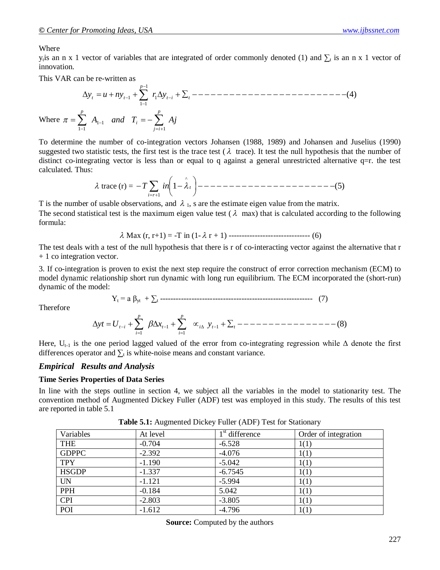#### Where

y<sub>t</sub> is an n x 1 vector of variables that are integrated of order commonly denoted (1) and  $\Sigma_t$  is an n x 1 vector of innovation.

This VAR can be re-written as

$$
\Delta y_{t} = u + n y_{t-1} + \sum_{i=1}^{p-1} r_{i} \Delta y_{t-i} + \sum_{t}^{2} (1 - (1 - 1) - (1 - 1) - (1 - 1)) \Delta y_{t-1}
$$
\nWhere  $\pi = \sum_{i=1}^{p} A_{i-1}$  and  $T_{i} = -\sum_{j=i+1}^{p} A_{j}$ 

To determine the number of co-integration vectors Johansen (1988, 1989) and Johansen and Juselius (1990) suggested two statistic tests, the first test is the trace test ( $\lambda$  trace). It test the null hypothesis that the number of distinct co-integrating vector is less than or equal to q against a general unrestricted alternative q=r. the test calculated. Thus:

 trace (r) = 1 (5) ^ 1 *t i r T in*

T is the number of usable observations, and  $\lambda_1$ , s are the estimate eigen value from the matrix. The second statistical test is the maximum eigen value test ( $\lambda$  max) that is calculated according to the following formula:

$$
\lambda
$$
 Max (r, r+1) = -T in (1- $\lambda$  r + 1) -  
-  
-  
-  
-  
-  
-  
-  
-  
- (6)

The test deals with a test of the null hypothesis that there is r of co-interacting vector against the alternative that r + 1 co integration vector.

3. If co-integration is proven to exist the next step require the construct of error correction mechanism (ECM) to model dynamic relationship short run dynamic with long run equilibrium. The ECM incorporated the (short-run) dynamic of the model:

Y<sup>t</sup> = a βyt + ∑<sup>t</sup> ---------------------------------------------------------- (7)

Therefore

$$
\Delta y t = U_{t-i} + \sum_{i=1}^{p} \beta \Delta x_{t-1} + \sum_{i=1}^{p} \alpha_{i\Delta} y_{t-1} + \sum_{t} \alpha_{t-1} \alpha_{t-1} \alpha_{t-1} \ldots \alpha_{t-1} \ldots \alpha_{t-1} \tag{8}
$$

Here,  $U_{t-1}$  is the one period lagged valued of the error from co-integrating regression while  $\Delta$  denote the first differences operator and  $\sum_{i}$  is white-noise means and constant variance.

#### *Empirical Results and Analysis*

#### **Time Series Properties of Data Series**

In line with the steps outline in section 4, we subject all the variables in the model to stationarity test. The convention method of Augmented Dickey Fuller (ADF) test was employed in this study. The results of this test are reported in table 5.1

| Variables    | At level | $1st$ difference | Order of integration |
|--------------|----------|------------------|----------------------|
| <b>THE</b>   | $-0.704$ | $-6.528$         | 1(1)                 |
| <b>GDPPC</b> | $-2.392$ | $-4.076$         | 1(1)                 |
| <b>TPY</b>   | $-1.190$ | $-5.042$         | 1(1)                 |
| <b>HSGDP</b> | $-1.337$ | $-6.7545$        | 1(1)                 |
| <b>UN</b>    | $-1.121$ | $-5.994$         | 1(1)                 |
| <b>PPH</b>   | $-0.184$ | 5.042            | 1(1)                 |
| <b>CPI</b>   | $-2.803$ | $-3.805$         | 1(1)                 |
| POI          | $-1.612$ | $-4.796$         | 1(1)                 |

**Table 5.1:** Augmented Dickey Fuller (ADF) Test for Stationary

**Source:** Computed by the authors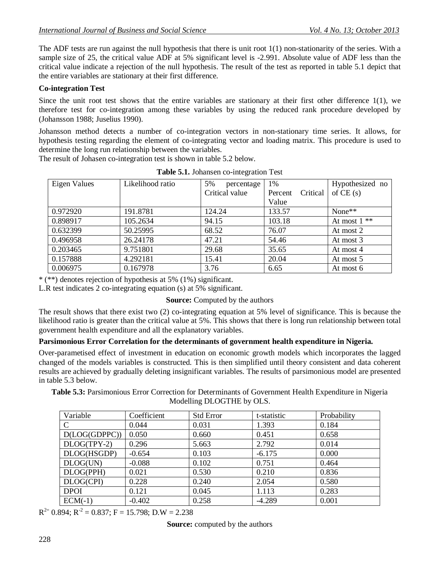The ADF tests are run against the null hypothesis that there is unit root  $1(1)$  non-stationarity of the series. With a sample size of 25, the critical value ADF at 5% significant level is -2.991. Absolute value of ADF less than the critical value indicate a rejection of the null hypothesis. The result of the test as reported in table 5.1 depict that the entire variables are stationary at their first difference.

### **Co-integration Test**

Since the unit root test shows that the entire variables are stationary at their first other difference 1(1), we therefore test for co-integration among these variables by using the reduced rank procedure developed by (Johansson 1988; Juselius 1990).

Johansson method detects a number of co-integration vectors in non-stationary time series. It allows, for hypothesis testing regarding the element of co-integrating vector and loading matrix. This procedure is used to determine the long run relationship between the variables.

The result of Johasen co-integration test is shown in table 5.2 below.

| Eigen Values | Likelihood ratio | 5%<br>percentage | 1%                  | Hypothesized no |
|--------------|------------------|------------------|---------------------|-----------------|
|              |                  | Critical value   | Critical<br>Percent | of $CE(s)$      |
|              |                  |                  | Value               |                 |
| 0.972920     | 191.8781         | 124.24           | 133.57              | None $**$       |
| 0.898917     | 105.2634         | 94.15            | 103.18              | At most $1**$   |
| 0.632399     | 50.25995         | 68.52            | 76.07               | At most 2       |
| 0.496958     | 26.24178         | 47.21            | 54.46               | At most 3       |
| 0.203465     | 9.751801         | 29.68            | 35.65               | At most 4       |
| 0.157888     | 4.292181         | 15.41            | 20.04               | At most 5       |
| 0.006975     | 0.167978         | 3.76             | 6.65                | At most 6       |

**Table 5.1.** Johansen co-integration Test

\* (\*\*) denotes rejection of hypothesis at 5% (1%) significant.

L.R test indicates 2 co-integrating equation (s) at 5% significant.

### **Source:** Computed by the authors

The result shows that there exist two (2) co-integrating equation at 5% level of significance. This is because the likelihood ratio is greater than the critical value at 5%. This shows that there is long run relationship between total government health expenditure and all the explanatory variables.

### **Parsimonious Error Correlation for the determinants of government health expenditure in Nigeria.**

Over-parametised effect of investment in education on economic growth models which incorporates the lagged changed of the models variables is constructed. This is then simplified until theory consistent and data coherent results are achieved by gradually deleting insignificant variables. The results of parsimonious model are presented in table 5.3 below.

**Table 5.3:** Parsimonious Error Correction for Determinants of Government Health Expenditure in Nigeria Modelling DLOGTHE by OLS.

| Variable      | Coefficient | <b>Std Error</b> | t-statistic |       |
|---------------|-------------|------------------|-------------|-------|
| $\mathcal{C}$ | 0.044       | 0.031            | 1.393       | 0.184 |
| D(LOG(GDPPC)) | 0.050       | 0.660            | 0.451       | 0.658 |
| DLOG(TPY-2)   | 0.296       | 5.663            | 2.792       | 0.014 |
| DLOG(HSGDP)   | $-0.654$    | 0.103            | $-6.175$    | 0.000 |
| DLOG(UN)      | $-0.088$    | 0.102            | 0.751       | 0.464 |
| DLOG(PPH)     | 0.021       | 0.530            | 0.210       | 0.836 |
| DLOG(CPI)     | 0.228       | 0.240            | 2.054       | 0.580 |
| <b>DPOI</b>   | 0.121       | 0.045            | 1.113       | 0.283 |
| $ECM(-1)$     | $-0.402$    | 0.258            | $-4.289$    | 0.001 |

 $R^{2=}$  0.894;  $R^{-2}$  = 0.837; F = 15.798; D.W = 2.238

**Source:** computed by the authors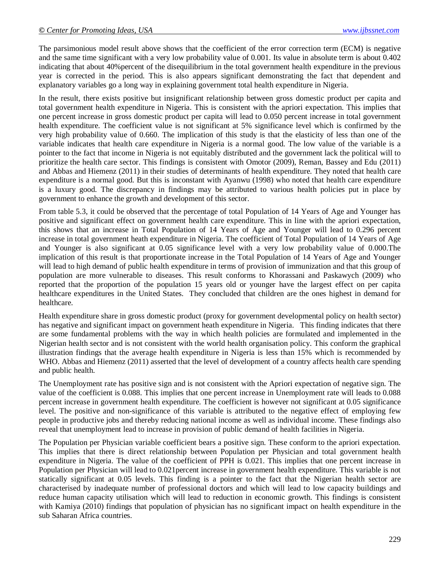The parsimonious model result above shows that the coefficient of the error correction term (ECM) is negative and the same time significant with a very low probability value of 0.001. Its value in absolute term is about 0.402 indicating that about 40%percent of the disequilibrium in the total government health expenditure in the previous year is corrected in the period. This is also appears significant demonstrating the fact that dependent and explanatory variables go a long way in explaining government total health expenditure in Nigeria.

In the result, there exists positive but insignificant relationship between gross domestic product per capita and total government health expenditure in Nigeria. This is consistent with the apriori expectation. This implies that one percent increase in gross domestic product per capita will lead to 0.050 percent increase in total government health expenditure. The coefficient value is not significant at 5% significance level which is confirmed by the very high probability value of 0.660. The implication of this study is that the elasticity of less than one of the variable indicates that health care expenditure in Nigeria is a normal good. The low value of the variable is a pointer to the fact that income in Nigeria is not equitably distributed and the government lack the political will to prioritize the health care sector. This findings is consistent with Omotor (2009), Reman, Bassey and Edu (2011) and Abbas and Hiemenz (2011) in their studies of determinants of health expenditure. They noted that health care expenditure is a normal good. But this is inconstant with Ayanwu (1998) who noted that health care expenditure is a luxury good. The discrepancy in findings may be attributed to various health policies put in place by government to enhance the growth and development of this sector.

From table 5.3, it could be observed that the percentage of total Population of 14 Years of Age and Younger has positive and significant effect on government health care expenditure. This in line with the apriori expectation, this shows that an increase in Total Population of 14 Years of Age and Younger will lead to 0.296 percent increase in total government heath expenditure in Nigeria. The coefficient of Total Population of 14 Years of Age and Younger is also significant at 0.05 significance level with a very low probability value of 0.000.The implication of this result is that proportionate increase in the Total Population of 14 Years of Age and Younger will lead to high demand of public health expenditure in terms of provision of immunization and that this group of population are more vulnerable to diseases. This result conforms to Khorassani and Paskawych (2009) who reported that the proportion of the population 15 years old or younger have the largest effect on per capita healthcare expenditures in the United States. They concluded that children are the ones highest in demand for healthcare.

Health expenditure share in gross domestic product (proxy for government developmental policy on health sector) has negative and significant impact on government heath expenditure in Nigeria. This finding indicates that there are some fundamental problems with the way in which health policies are formulated and implemented in the Nigerian health sector and is not consistent with the world health organisation policy. This conform the graphical illustration findings that the average health expenditure in Nigeria is less than 15% which is recommended by WHO. Abbas and Hiemenz (2011) asserted that the level of development of a country affects health care spending and public health.

The Unemployment rate has positive sign and is not consistent with the Apriori expectation of negative sign. The value of the coefficient is 0.088. This implies that one percent increase in Unemployment rate will leads to 0.088 percent increase in government health expenditure. The coefficient is however not significant at 0.05 significance level. The positive and non-significance of this variable is attributed to the negative effect of employing few people in productive jobs and thereby reducing national income as well as individual income. These findings also reveal that unemployment lead to increase in provision of public demand of health facilities in Nigeria.

The Population per Physician variable coefficient bears a positive sign. These conform to the apriori expectation. This implies that there is direct relationship between Population per Physician and total government health expenditure in Nigeria. The value of the coefficient of PPH is 0.021. This implies that one percent increase in Population per Physician will lead to 0.021percent increase in government health expenditure. This variable is not statically significant at 0.05 levels. This finding is a pointer to the fact that the Nigerian health sector are characterised by inadequate number of professional doctors and which will lead to low capacity buildings and reduce human capacity utilisation which will lead to reduction in economic growth. This findings is consistent with Kamiya (2010) findings that population of physician has no significant impact on health expenditure in the sub Saharan Africa countries.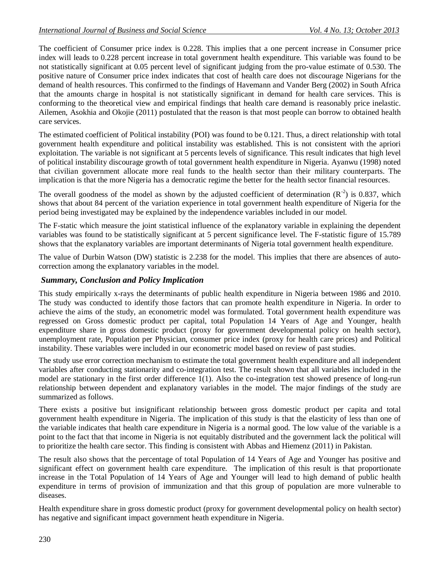The coefficient of Consumer price index is 0.228. This implies that a one percent increase in Consumer price index will leads to 0.228 percent increase in total government health expenditure. This variable was found to be not statistically significant at 0.05 percent level of significant judging from the pro-value estimate of 0.530. The positive nature of Consumer price index indicates that cost of health care does not discourage Nigerians for the demand of health resources. This confirmed to the findings of Havemann and Vander Berg (2002) in South Africa that the amounts charge in hospital is not statistically significant in demand for health care services. This is conforming to the theoretical view and empirical findings that health care demand is reasonably price inelastic. Ailemen, Asokhia and Okojie (2011) postulated that the reason is that most people can borrow to obtained health care services.

The estimated coefficient of Political instability (POI) was found to be 0.121. Thus, a direct relationship with total government health expenditure and political instability was established. This is not consistent with the apriori exploitation. The variable is not significant at 5 percents levels of significance. This result indicates that high level of political instability discourage growth of total government health expenditure in Nigeria. Ayanwu (1998) noted that civilian government allocate more real funds to the health sector than their military counterparts. The implication is that the more Nigeria has a democratic regime the better for the health sector financial resources.

The overall goodness of the model as shown by the adjusted coefficient of determination  $(R^{-2})$  is 0.837, which shows that about 84 percent of the variation experience in total government health expenditure of Nigeria for the period being investigated may be explained by the independence variables included in our model.

The F-static which measure the joint statistical influence of the explanatory variable in explaining the dependent variables was found to be statistically significant at 5 percent significance level. The F-statistic figure of 15.789 shows that the explanatory variables are important determinants of Nigeria total government health expenditure.

The value of Durbin Watson (DW) statistic is 2.238 for the model. This implies that there are absences of autocorrection among the explanatory variables in the model.

### *Summary, Conclusion and Policy Implication*

This study empirically x-rays the determinants of public health expenditure in Nigeria between 1986 and 2010. The study was conducted to identify those factors that can promote health expenditure in Nigeria. In order to achieve the aims of the study, an econometric model was formulated. Total government health expenditure was regressed on Gross domestic product per capital, total Population 14 Years of Age and Younger, health expenditure share in gross domestic product (proxy for government developmental policy on health sector), unemployment rate, Population per Physician, consumer price index (proxy for health care prices) and Political instability. These variables were included in our econometric model based on review of past studies.

The study use error correction mechanism to estimate the total government health expenditure and all independent variables after conducting stationarity and co-integration test. The result shown that all variables included in the model are stationary in the first order difference 1(1). Also the co-integration test showed presence of long-run relationship between dependent and explanatory variables in the model. The major findings of the study are summarized as follows.

There exists a positive but insignificant relationship between gross domestic product per capita and total government health expenditure in Nigeria. The implication of this study is that the elasticity of less than one of the variable indicates that health care expenditure in Nigeria is a normal good. The low value of the variable is a point to the fact that that income in Nigeria is not equitably distributed and the government lack the political will to prioritize the health care sector. This finding is consistent with Abbas and Hiemenz (2011) in Pakistan.

The result also shows that the percentage of total Population of 14 Years of Age and Younger has positive and significant effect on government health care expenditure. The implication of this result is that proportionate increase in the Total Population of 14 Years of Age and Younger will lead to high demand of public health expenditure in terms of provision of immunization and that this group of population are more vulnerable to diseases.

Health expenditure share in gross domestic product (proxy for government developmental policy on health sector) has negative and significant impact government heath expenditure in Nigeria.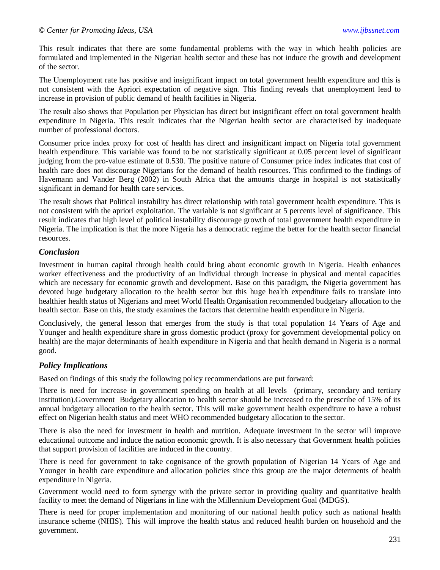This result indicates that there are some fundamental problems with the way in which health policies are formulated and implemented in the Nigerian health sector and these has not induce the growth and development of the sector.

The Unemployment rate has positive and insignificant impact on total government health expenditure and this is not consistent with the Apriori expectation of negative sign. This finding reveals that unemployment lead to increase in provision of public demand of health facilities in Nigeria.

The result also shows that Population per Physician has direct but insignificant effect on total government health expenditure in Nigeria. This result indicates that the Nigerian health sector are characterised by inadequate number of professional doctors.

Consumer price index proxy for cost of health has direct and insignificant impact on Nigeria total government health expenditure. This variable was found to be not statistically significant at 0.05 percent level of significant judging from the pro-value estimate of 0.530. The positive nature of Consumer price index indicates that cost of health care does not discourage Nigerians for the demand of health resources. This confirmed to the findings of Havemann and Vander Berg (2002) in South Africa that the amounts charge in hospital is not statistically significant in demand for health care services.

The result shows that Political instability has direct relationship with total government health expenditure. This is not consistent with the apriori exploitation. The variable is not significant at 5 percents level of significance. This result indicates that high level of political instability discourage growth of total government health expenditure in Nigeria. The implication is that the more Nigeria has a democratic regime the better for the health sector financial resources.

### *Conclusion*

Investment in human capital through health could bring about economic growth in Nigeria. Health enhances worker effectiveness and the productivity of an individual through increase in physical and mental capacities which are necessary for economic growth and development. Base on this paradigm, the Nigeria government has devoted huge budgetary allocation to the health sector but this huge health expenditure fails to translate into healthier health status of Nigerians and meet World Health Organisation recommended budgetary allocation to the health sector. Base on this, the study examines the factors that determine health expenditure in Nigeria.

Conclusively, the general lesson that emerges from the study is that total population 14 Years of Age and Younger and health expenditure share in gross domestic product (proxy for government developmental policy on health) are the major determinants of health expenditure in Nigeria and that health demand in Nigeria is a normal good.

### *Policy Implications*

Based on findings of this study the following policy recommendations are put forward:

There is need for increase in government spending on health at all levels (primary, secondary and tertiary institution).Government Budgetary allocation to health sector should be increased to the prescribe of 15% of its annual budgetary allocation to the health sector. This will make government health expenditure to have a robust effect on Nigerian health status and meet WHO recommended budgetary allocation to the sector.

There is also the need for investment in health and nutrition. Adequate investment in the sector will improve educational outcome and induce the nation economic growth. It is also necessary that Government health policies that support provision of facilities are induced in the country.

There is need for government to take cognisance of the growth population of Nigerian 14 Years of Age and Younger in health care expenditure and allocation policies since this group are the major determents of health expenditure in Nigeria.

Government would need to form synergy with the private sector in providing quality and quantitative health facility to meet the demand of Nigerians in line with the Millennium Development Goal (MDGS).

There is need for proper implementation and monitoring of our national health policy such as national health insurance scheme (NHIS). This will improve the health status and reduced health burden on household and the government.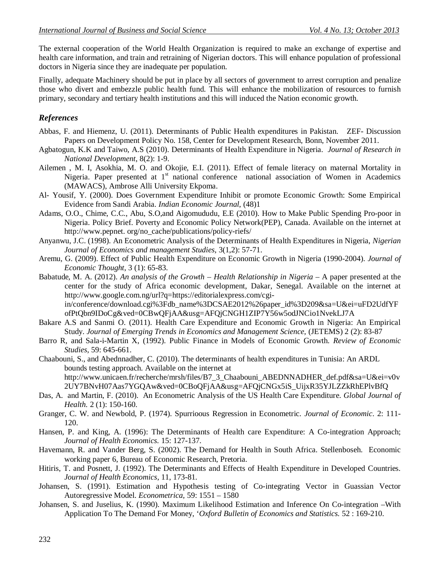The external cooperation of the World Health Organization is required to make an exchange of expertise and health care information, and train and retraining of Nigerian doctors. This will enhance population of professional doctors in Nigeria since they are inadequate per population.

Finally, adequate Machinery should be put in place by all sectors of government to arrest corruption and penalize those who divert and embezzle public health fund. This will enhance the mobilization of resources to furnish primary, secondary and tertiary health institutions and this will induced the Nation economic growth.

### *References*

- Abbas, F. and Hiemenz, U. (2011). Determinants of Public Health expenditures in Pakistan. ZEF- Discussion Papers on Development Policy No. 158, Center for Development Research, Bonn, November 2011.
- Agbatogun, K.K and Taiwo, A.S (2010). Determinants of Health Expenditure in Nigeria. *Journal of Research in National Development*, 8(2): 1-9.
- Ailemen , M. I, Asokhia, M. O. and Okojie, E.I. (2011). Effect of female literacy on maternal Mortality in Nigeria. Paper presented at  $1<sup>st</sup>$  national conference national association of Women in Academics (MAWACS), Ambrose Alli University Ekpoma.
- Al- Yousif, Y. (2000). Does Government Expenditure Inhibit or promote Economic Growth: Some Empirical Evidence from Sandi Arabia. *Indian Economic Journal*, (48)1
- Adams, O.O., Chime, C.C., Abu, S.O,and Aigomududu, E.E (2010). How to Make Public Spending Pro-poor in Nigeria. Policy Brief. Poverty and Economic Policy Network(PEP), Canada. Available on the internet at http://www.pepnet. org/no\_cache/publications/policy-riefs/
- Anyanwu, J.C. (1998). An Econometric Analysis of the Determinants of Health Expenditures in Nigeria, *Nigerian Journal of Economics and management Studies*, 3(1,2): 57-71.
- Aremu, G. (2009). Effect of Public Health Expenditure on Economic Growth in Nigeria (1990-2004). *Journal of Economic Thought*, 3 (1): 65-83.
- Babatude, M. A. (2012). *An analysis of the Growth – Health Relationship in Nigeria* A paper presented at the center for the study of Africa economic development, Dakar, Senegal. Available on the internet at http://www.google.com.ng/url?q=https://editorialexpress.com/cgiin/conference/download.cgi%3Fdb\_name%3DCSAE2012%26paper\_id%3D209&sa=U&ei=uFD2UdfYF ofPtQbn9IDoCg&ved=0CBwQFjAA&usg=AFQjCNGH1ZIP7Y56w5odJNCio1NvekLJ7A
- Bakare A.S and Sanmi O. (2011). Health Care Expenditure and Economic Growth in Nigeria: An Empirical Study. *Journal of Emerging Trends in Economics and Management Science,* (JETEMS) 2 (2): 83-87
- Barro R, and Sala-i-Martin X, (1992). Public Finance in Models of Economic Growth. *Review of Economic Studies,* 59: 645-661.

Chaabouni, S., and Abednnadher, C. (2010). The determinants of health expenditures in Tunisia: An ARDL bounds testing approach. Available on the internet at http://www.unicaen.fr/recherche/mrsh/files/B7\_3\_Chaabouni\_ABEDNNADHER\_def.pdf&sa=U&ei=v0v 2UY7BNvH07Aas7YGQAw&ved=0CBoQFjAA&usg=AFQjCNGx5iS\_UijxR35YJLZZkRhEPlvBfQ

- Das, A. and Martin, F. (2010). An Econometric Analysis of the US Health Care Expenditure. *Global Journal of Health.* 2 (1): 150-160.
- Granger, C. W. and Newbold, P. (1974). Spurrioous Regression in Econometric. *Journal of Economic*. 2: 111- 120.
- Hansen, P. and King, A. (1996): The Determinants of Health care Expenditure: A Co-integration Approach; *Journal of Health Economics.* 15: 127-137.
- Havemann, R. and Vander Berg, S. (2002). The Demand for Health in South Africa. Stellenboseh. Economic working paper 6, Bureau of Economic Research, Pretoria.
- Hitiris, T. and Posnett, J. (1992). The Determinants and Effects of Health Expenditure in Developed Countries. *Journal of Health Economics*, 11, 173-81.
- Johansen, S. (1991). Estimation and Hypothesis testing of Co-integrating Vector in Guassian Vector Autoregressive Model. *Econometrica,* 59: 1551 – 1580
- Johansen, S. and Juselius, K. (1990). Maximum Likelihood Estimation and Inference On Co-integration –With Application To The Demand For Money, '*Oxford Bulletin of Economics and Statistics.* 52 : 169-210.